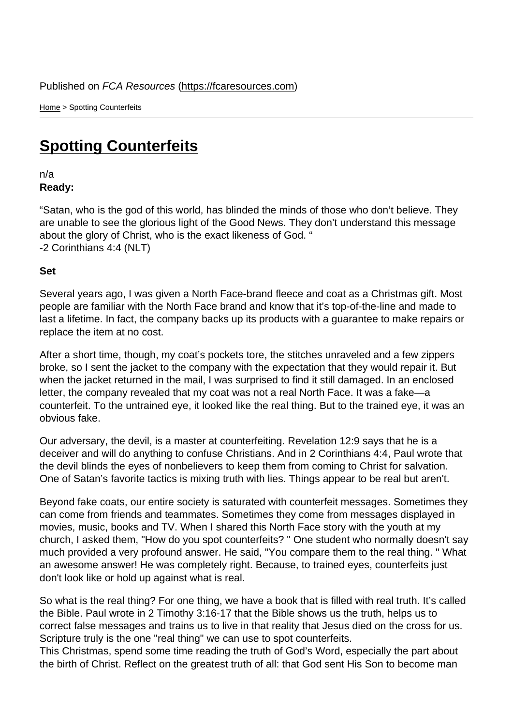Home > Spotting Counterfeits

## [Spo](https://fcaresources.com/)tting Counterfeits

n/a [Ready:](https://fcaresources.com/devotional/spotting-counterfeits) 

"Satan, who is the god of this world, has blinded the minds of those who don't believe. They are unable to see the glorious light of the Good News. They don't understand this message about the glory of Christ, who is the exact likeness of God. " -2 Corinthians 4:4 (NLT)

Set

Several years ago, I was given a North Face-brand fleece and coat as a Christmas gift. Most people are familiar with the North Face brand and know that it's top-of-the-line and made to last a lifetime. In fact, the company backs up its products with a guarantee to make repairs or replace the item at no cost.

After a short time, though, my coat's pockets tore, the stitches unraveled and a few zippers broke, so I sent the jacket to the company with the expectation that they would repair it. But when the jacket returned in the mail, I was surprised to find it still damaged. In an enclosed letter, the company revealed that my coat was not a real North Face. It was a fake—a counterfeit. To the untrained eye, it looked like the real thing. But to the trained eye, it was an obvious fake.

Our adversary, the devil, is a master at counterfeiting. Revelation 12:9 says that he is a deceiver and will do anything to confuse Christians. And in 2 Corinthians 4:4, Paul wrote that the devil blinds the eyes of nonbelievers to keep them from coming to Christ for salvation. One of Satan's favorite tactics is mixing truth with lies. Things appear to be real but aren't.

Beyond fake coats, our entire society is saturated with counterfeit messages. Sometimes they can come from friends and teammates. Sometimes they come from messages displayed in movies, music, books and TV. When I shared this North Face story with the youth at my church, I asked them, "How do you spot counterfeits? " One student who normally doesn't say much provided a very profound answer. He said, "You compare them to the real thing. " What an awesome answer! He was completely right. Because, to trained eyes, counterfeits just don't look like or hold up against what is real.

So what is the real thing? For one thing, we have a book that is filled with real truth. It's called the Bible. Paul wrote in 2 Timothy 3:16-17 that the Bible shows us the truth, helps us to correct false messages and trains us to live in that reality that Jesus died on the cross for us. Scripture truly is the one "real thing" we can use to spot counterfeits. This Christmas, spend some time reading the truth of God's Word, especially the part about the birth of Christ. Reflect on the greatest truth of all: that God sent His Son to become man